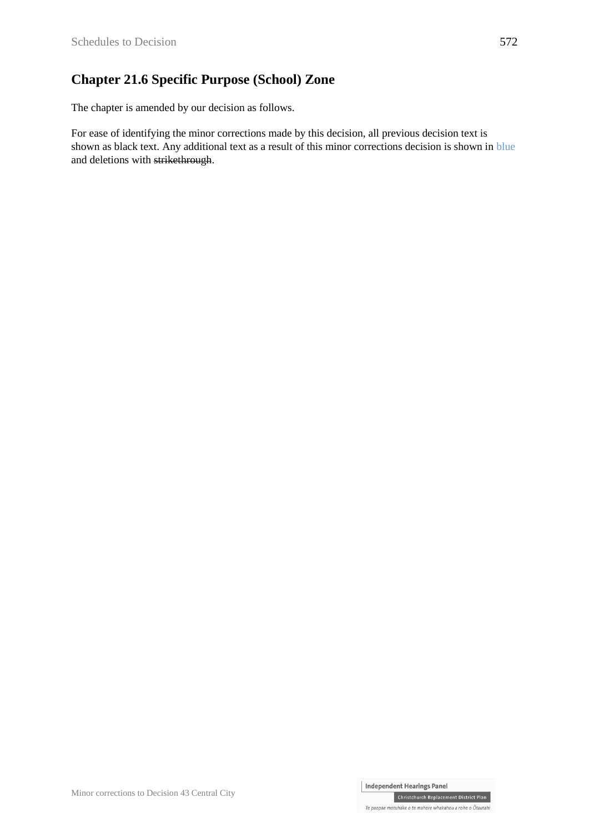## **Chapter 21.6 Specific Purpose (School) Zone**

The chapter is amended by our decision as follows.

For ease of identifying the minor corrections made by this decision, all previous decision text is shown as black text. Any additional text as a result of this minor corrections decision is shown in blue and deletions with strikethrough.

Christchurch Replacement District Plan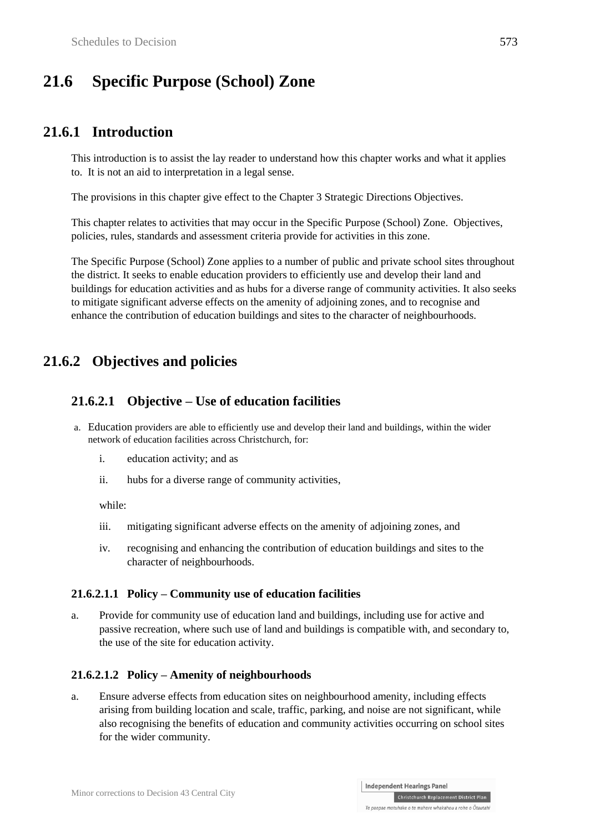# **21.6 Specific Purpose (School) Zone**

## **21.6.1 Introduction**

This introduction is to assist the lay reader to understand how this chapter works and what it applies to. It is not an aid to interpretation in a legal sense.

The provisions in this chapter give effect to the Chapter 3 Strategic Directions Objectives.

This chapter relates to activities that may occur in the Specific Purpose (School) Zone. Objectives, policies, rules, standards and assessment criteria provide for activities in this zone.

The Specific Purpose (School) Zone applies to a number of public and private school sites throughout the district. It seeks to enable education providers to efficiently use and develop their land and buildings for education activities and as hubs for a diverse range of community activities. It also seeks to mitigate significant adverse effects on the amenity of adjoining zones, and to recognise and enhance the contribution of education buildings and sites to the character of neighbourhoods.

## **21.6.2 Objectives and policies**

#### **21.6.2.1 Objective – Use of education facilities**

- a. Education providers are able to efficiently use and develop their land and buildings, within the wider network of education facilities across Christchurch, for:
	- i. education activity; and as
	- ii. hubs for a diverse range of community activities,

while:

- iii. mitigating significant adverse effects on the amenity of adjoining zones, and
- iv. recognising and enhancing the contribution of education buildings and sites to the character of neighbourhoods.

#### **21.6.2.1.1 Policy – Community use of education facilities**

a. Provide for community use of education land and buildings, including use for active and passive recreation, where such use of land and buildings is compatible with, and secondary to, the use of the site for education activity.

#### **21.6.2.1.2 Policy – Amenity of neighbourhoods**

a. Ensure adverse effects from education sites on neighbourhood amenity, including effects arising from building location and scale, traffic, parking, and noise are not significant, while also recognising the benefits of education and community activities occurring on school sites for the wider community.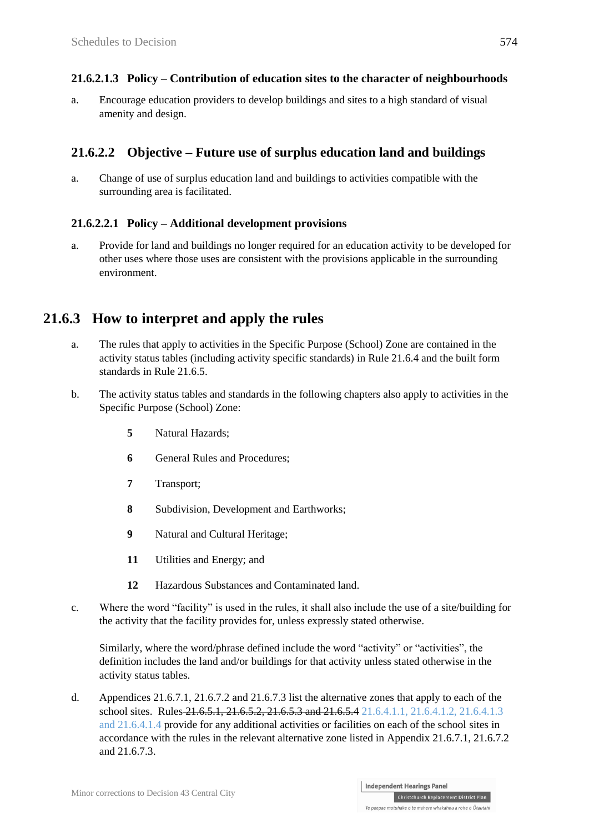#### **21.6.2.1.3 Policy – Contribution of education sites to the character of neighbourhoods**

a. Encourage education providers to develop buildings and sites to a high standard of visual amenity and design.

#### **21.6.2.2 Objective – Future use of surplus education land and buildings**

a. Change of use of surplus education land and buildings to activities compatible with the surrounding area is facilitated.

#### **21.6.2.2.1 Policy – Additional development provisions**

a. Provide for land and buildings no longer required for an education activity to be developed for other uses where those uses are consistent with the provisions applicable in the surrounding environment.

### **21.6.3 How to interpret and apply the rules**

- a. The rules that apply to activities in the Specific Purpose (School) Zone are contained in the activity status tables (including activity specific standards) in Rule 21.6.4 and the built form standards in Rule 21.6.5.
- b. The activity status tables and standards in the following chapters also apply to activities in the Specific Purpose (School) Zone:
	- **5** Natural Hazards;
	- **6** General Rules and Procedures:
	- **7** Transport;
	- **8** Subdivision, Development and Earthworks;
	- **9** Natural and Cultural Heritage;
	- **11** Utilities and Energy; and
	- **12** Hazardous Substances and Contaminated land.
- c. Where the word "facility" is used in the rules, it shall also include the use of a site/building for the activity that the facility provides for, unless expressly stated otherwise.

Similarly, where the word/phrase defined include the word "activity" or "activities", the definition includes the land and/or buildings for that activity unless stated otherwise in the activity status tables.

d. Appendices 21.6.7.1, 21.6.7.2 and 21.6.7.3 list the alternative zones that apply to each of the school sites. Rules 21.6.5.1, 21.6.5.2, 21.6.5.3 and 21.6.5.4 21.6.4.1.1, 21.6.4.1.2, 21.6.4.1.3 and 21.6.4.1.4 provide for any additional activities or facilities on each of the school sites in accordance with the rules in the relevant alternative zone listed in Appendix 21.6.7.1, 21.6.7.2 and 21.6.7.3.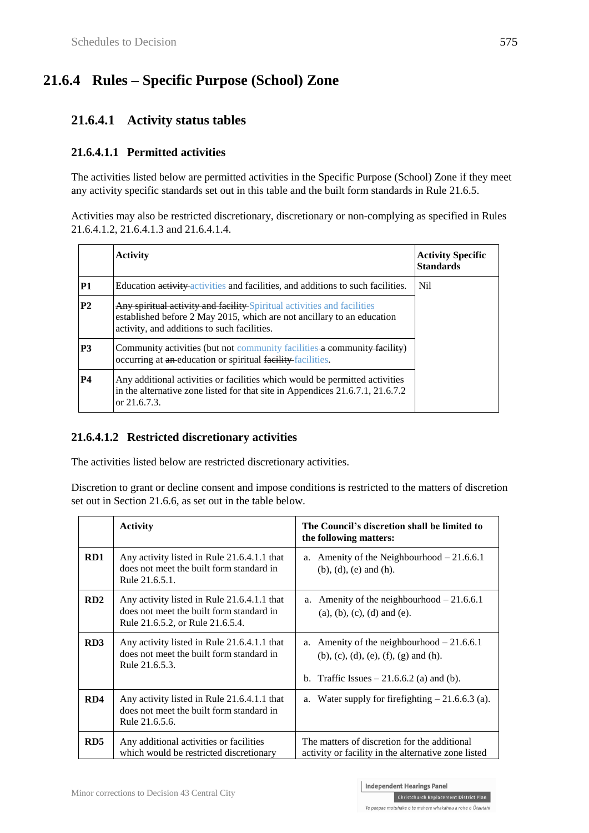# **21.6.4 Rules – Specific Purpose (School) Zone**

## **21.6.4.1 Activity status tables**

#### **21.6.4.1.1 Permitted activities**

The activities listed below are permitted activities in the Specific Purpose (School) Zone if they meet any activity specific standards set out in this table and the built form standards in Rule 21.6.5.

Activities may also be restricted discretionary, discretionary or non-complying as specified in Rules 21.6.4.1.2, 21.6.4.1.3 and 21.6.4.1.4.

|                | <b>Activity</b>                                                                                                                                                                                         | <b>Activity Specific</b><br><b>Standards</b> |
|----------------|---------------------------------------------------------------------------------------------------------------------------------------------------------------------------------------------------------|----------------------------------------------|
| <b>P1</b>      | Education activity activities and facilities, and additions to such facilities.                                                                                                                         | N <sub>il</sub>                              |
| P <sub>2</sub> | <b>Any spiritual activity and facility Spiritual activities and facilities</b><br>established before 2 May 2015, which are not ancillary to an education<br>activity, and additions to such facilities. |                                              |
| <b>P3</b>      | Community activities (but not community facilities a community facility)<br>occurring at an education or spiritual facility facilities.                                                                 |                                              |
| <b>P4</b>      | Any additional activities or facilities which would be permitted activities<br>in the alternative zone listed for that site in Appendices 21.6.7.1, 21.6.7.2<br>or $21.6.7.3$ .                         |                                              |

#### **21.6.4.1.2 Restricted discretionary activities**

The activities listed below are restricted discretionary activities.

Discretion to grant or decline consent and impose conditions is restricted to the matters of discretion set out in Section 21.6.6, as set out in the table below.

|                 | <b>Activity</b>                                                                                                             | The Council's discretion shall be limited to<br>the following matters:                                                                                    |
|-----------------|-----------------------------------------------------------------------------------------------------------------------------|-----------------------------------------------------------------------------------------------------------------------------------------------------------|
| RD1             | Any activity listed in Rule 21.6.4.1.1 that<br>does not meet the built form standard in<br>Rule 21.6.5.1.                   | Amenity of the Neighbourhood $-21.6.6.1$<br>a.<br>$(b)$ , $(d)$ , $(e)$ and $(h)$ .                                                                       |
| RD2             | Any activity listed in Rule 21.6.4.1.1 that<br>does not meet the built form standard in<br>Rule 21.6.5.2, or Rule 21.6.5.4. | a. Amenity of the neighbourhood $-21.6.6.1$<br>$(a), (b), (c), (d)$ and $(e).$                                                                            |
| RD <sub>3</sub> | Any activity listed in Rule 21.6.4.1.1 that<br>does not meet the built form standard in<br>Rule 21.6.5.3.                   | Amenity of the neighbourhood $-21.6.6.1$<br>a.<br>$(b)$ , $(c)$ , $(d)$ , $(e)$ , $(f)$ , $(g)$ and $(h)$ .<br>b. Traffic Issues $-21.6.6.2$ (a) and (b). |
| RD4             | Any activity listed in Rule 21.6.4.1.1 that<br>does not meet the built form standard in<br>Rule 21.6.5.6.                   | a. Water supply for firefighting $-21.6.6.3$ (a).                                                                                                         |
| RD5             | Any additional activities or facilities<br>which would be restricted discretionary                                          | The matters of discretion for the additional<br>activity or facility in the alternative zone listed                                                       |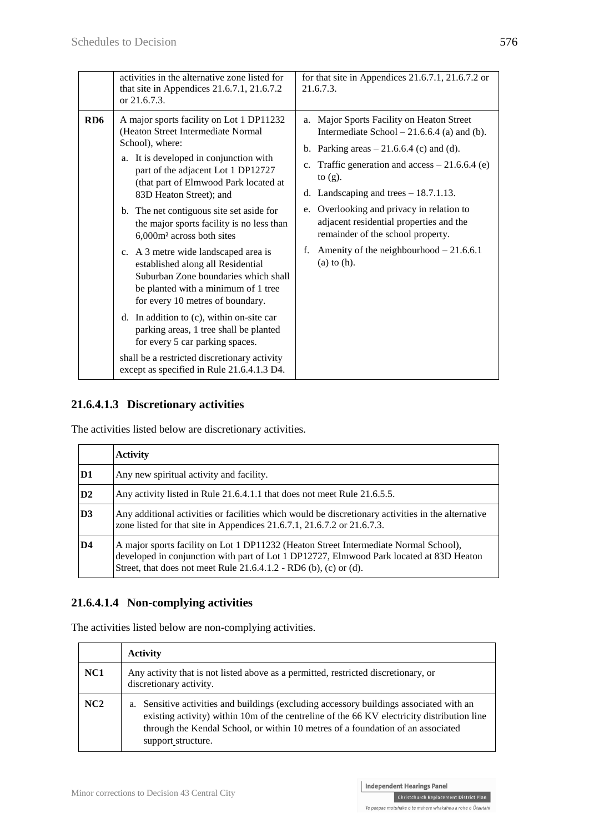|                 | activities in the alternative zone listed for<br>that site in Appendices 21.6.7.1, 21.6.7.2<br>or 21.6.7.3.                                                                                                                                                                                                                                                                                                                                                                                                                                                                                                                                                                                                                                                                                                     | for that site in Appendices 21.6.7.1, 21.6.7.2 or<br>21.6.7.3.                                                                                                                                                                                                                                                                                                                                                                                                         |
|-----------------|-----------------------------------------------------------------------------------------------------------------------------------------------------------------------------------------------------------------------------------------------------------------------------------------------------------------------------------------------------------------------------------------------------------------------------------------------------------------------------------------------------------------------------------------------------------------------------------------------------------------------------------------------------------------------------------------------------------------------------------------------------------------------------------------------------------------|------------------------------------------------------------------------------------------------------------------------------------------------------------------------------------------------------------------------------------------------------------------------------------------------------------------------------------------------------------------------------------------------------------------------------------------------------------------------|
| RD <sub>6</sub> | A major sports facility on Lot 1 DP11232<br>(Heaton Street Intermediate Normal<br>School), where:<br>a. It is developed in conjunction with<br>part of the adjacent Lot 1 DP12727<br>(that part of Elmwood Park located at<br>83D Heaton Street); and<br>b. The net contiguous site set aside for<br>the major sports facility is no less than<br>6,000m <sup>2</sup> across both sites<br>c. A 3 metre wide landscaped area is<br>established along all Residential<br>Suburban Zone boundaries which shall<br>be planted with a minimum of 1 tree<br>for every 10 metres of boundary.<br>d. In addition to (c), within on-site car<br>parking areas, 1 tree shall be planted<br>for every 5 car parking spaces.<br>shall be a restricted discretionary activity<br>except as specified in Rule 21.6.4.1.3 D4. | Major Sports Facility on Heaton Street<br>a.<br>Intermediate School $-21.6.6.4$ (a) and (b).<br>b. Parking areas $-21.6.6.4$ (c) and (d).<br>Traffic generation and $access - 21.6.6.4$ (e)<br>$c_{\cdot}$<br>to $(g)$ .<br>d. Landscaping and trees $-18.7.1.13$ .<br>e. Overlooking and privacy in relation to<br>adjacent residential properties and the<br>remainder of the school property.<br>Amenity of the neighbourhood $-21.6.6.1$<br>f.<br>$(a)$ to $(h)$ . |

#### **21.6.4.1.3 Discretionary activities**

The activities listed below are discretionary activities.

|    | <b>Activity</b>                                                                                                                                                                                                                                        |  |
|----|--------------------------------------------------------------------------------------------------------------------------------------------------------------------------------------------------------------------------------------------------------|--|
| D1 | Any new spiritual activity and facility.                                                                                                                                                                                                               |  |
| D2 | Any activity listed in Rule 21.6.4.1.1 that does not meet Rule 21.6.5.5.                                                                                                                                                                               |  |
| D3 | Any additional activities or facilities which would be discretionary activities in the alternative<br>zone listed for that site in Appendices $21.6.7.1$ , $21.6.7.2$ or $21.6.7.3$ .                                                                  |  |
| D4 | A major sports facility on Lot 1 DP11232 (Heaton Street Intermediate Normal School),<br>developed in conjunction with part of Lot 1 DP12727, Elmwood Park located at 83D Heaton<br>Street, that does not meet Rule $21.6.4.1.2$ - RD6 (b), (c) or (d). |  |

#### **21.6.4.1.4 Non-complying activities**

The activities listed below are non-complying activities.

|                 | <b>Activity</b>                                                                                                                                                                                                                                                                                |
|-----------------|------------------------------------------------------------------------------------------------------------------------------------------------------------------------------------------------------------------------------------------------------------------------------------------------|
| NC <sub>1</sub> | Any activity that is not listed above as a permitted, restricted discretionary, or<br>discretionary activity.                                                                                                                                                                                  |
| NC2             | a. Sensitive activities and buildings (excluding accessory buildings associated with an<br>existing activity) within 10m of the centreline of the 66 KV electricity distribution line<br>through the Kendal School, or within 10 metres of a foundation of an associated<br>support structure. |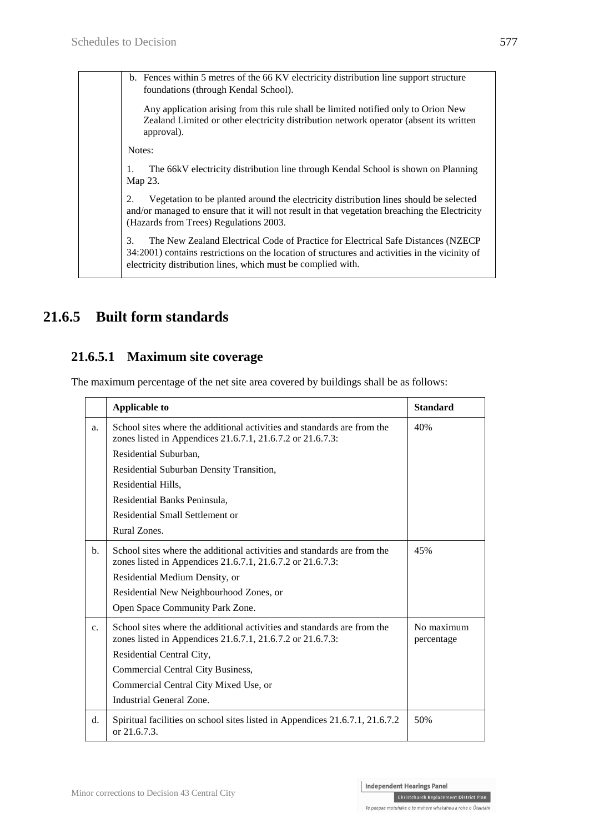b. Fences within 5 metres of the 66 KV electricity distribution line support structure foundations (through Kendal School).

Any application arising from this rule shall be limited notified only to Orion New Zealand Limited or other electricity distribution network operator (absent its written approval).

Notes:

1. The 66kV electricity distribution line through Kendal School is shown on Planning Map 23.

2. Vegetation to be planted around the electricity distribution lines should be selected and/or managed to ensure that it will not result in that vegetation breaching the Electricity (Hazards from Trees) Regulations 2003.

3. The New Zealand Electrical Code of Practice for Electrical Safe Distances (NZECP 34:2001) contains restrictions on the location of structures and activities in the vicinity of electricity distribution lines, which must be complied with.

# **21.6.5 Built form standards**

### **21.6.5.1 Maximum site coverage**

The maximum percentage of the net site area covered by buildings shall be as follows:

|                | <b>Applicable to</b>                                                                                                                  | <b>Standard</b>          |
|----------------|---------------------------------------------------------------------------------------------------------------------------------------|--------------------------|
| a.             | School sites where the additional activities and standards are from the<br>zones listed in Appendices 21.6.7.1, 21.6.7.2 or 21.6.7.3: | 40%                      |
|                | Residential Suburban,                                                                                                                 |                          |
|                | Residential Suburban Density Transition,                                                                                              |                          |
|                | Residential Hills,                                                                                                                    |                          |
|                | Residential Banks Peninsula,                                                                                                          |                          |
|                | Residential Small Settlement or                                                                                                       |                          |
|                | Rural Zones.                                                                                                                          |                          |
| $\mathbf{b}$ . | School sites where the additional activities and standards are from the<br>zones listed in Appendices 21.6.7.1, 21.6.7.2 or 21.6.7.3: | 45%                      |
|                | Residential Medium Density, or                                                                                                        |                          |
|                | Residential New Neighbourhood Zones, or                                                                                               |                          |
|                | Open Space Community Park Zone.                                                                                                       |                          |
| $\mathbf{c}$ . | School sites where the additional activities and standards are from the<br>zones listed in Appendices 21.6.7.1, 21.6.7.2 or 21.6.7.3: | No maximum<br>percentage |
|                | Residential Central City,                                                                                                             |                          |
|                | Commercial Central City Business,                                                                                                     |                          |
|                | Commercial Central City Mixed Use, or                                                                                                 |                          |
|                | Industrial General Zone.                                                                                                              |                          |
| d.             | Spiritual facilities on school sites listed in Appendices 21.6.7.1, 21.6.7.2<br>or 21.6.7.3.                                          | 50%                      |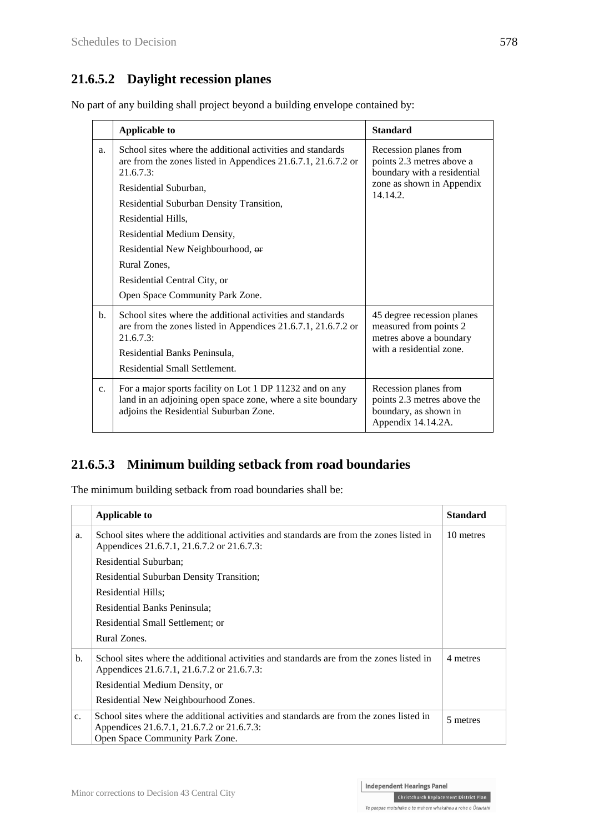## **21.6.5.2 Daylight recession planes**

No part of any building shall project beyond a building envelope contained by:

|             | <b>Applicable to</b>                                                                                                                                              | <b>Standard</b>                                                                                     |
|-------------|-------------------------------------------------------------------------------------------------------------------------------------------------------------------|-----------------------------------------------------------------------------------------------------|
| a.          | School sites where the additional activities and standards<br>are from the zones listed in Appendices 21.6.7.1, 21.6.7.2 or<br>21.6.7.3                           | Recession planes from<br>points 2.3 metres above a<br>boundary with a residential                   |
|             | Residential Suburban,                                                                                                                                             | zone as shown in Appendix<br>14.14.2.                                                               |
|             | Residential Suburban Density Transition,                                                                                                                          |                                                                                                     |
|             | Residential Hills,                                                                                                                                                |                                                                                                     |
|             | Residential Medium Density,                                                                                                                                       |                                                                                                     |
|             | Residential New Neighbourhood, or                                                                                                                                 |                                                                                                     |
|             | Rural Zones,                                                                                                                                                      |                                                                                                     |
|             | Residential Central City, or                                                                                                                                      |                                                                                                     |
|             | Open Space Community Park Zone.                                                                                                                                   |                                                                                                     |
| $h_{\cdot}$ | School sites where the additional activities and standards<br>are from the zones listed in Appendices 21.6.7.1, 21.6.7.2 or<br>21.6.7.3:                          | 45 degree recession planes<br>measured from points 2<br>metres above a boundary                     |
|             | Residential Banks Peninsula,                                                                                                                                      | with a residential zone.                                                                            |
|             | Residential Small Settlement.                                                                                                                                     |                                                                                                     |
| $C_{\star}$ | For a major sports facility on Lot 1 DP 11232 and on any<br>land in an adjoining open space zone, where a site boundary<br>adjoins the Residential Suburban Zone. | Recession planes from<br>points 2.3 metres above the<br>boundary, as shown in<br>Appendix 14.14.2A. |

## **21.6.5.3 Minimum building setback from road boundaries**

The minimum building setback from road boundaries shall be:

|                | <b>Applicable to</b>                                                                                                                                                     | <b>Standard</b> |
|----------------|--------------------------------------------------------------------------------------------------------------------------------------------------------------------------|-----------------|
| a.             | School sites where the additional activities and standards are from the zones listed in<br>Appendices 21.6.7.1, 21.6.7.2 or 21.6.7.3:                                    | 10 metres       |
|                | Residential Suburban;                                                                                                                                                    |                 |
|                | <b>Residential Suburban Density Transition;</b>                                                                                                                          |                 |
|                | Residential Hills;                                                                                                                                                       |                 |
|                | Residential Banks Peninsula;                                                                                                                                             |                 |
|                | Residential Small Settlement; or                                                                                                                                         |                 |
|                | Rural Zones.                                                                                                                                                             |                 |
| $\mathbf{b}$ . | School sites where the additional activities and standards are from the zones listed in<br>Appendices 21.6.7.1, 21.6.7.2 or 21.6.7.3:                                    | 4 metres        |
|                | Residential Medium Density, or                                                                                                                                           |                 |
|                | Residential New Neighbourhood Zones.                                                                                                                                     |                 |
| C <sub>1</sub> | School sites where the additional activities and standards are from the zones listed in<br>Appendices 21.6.7.1, 21.6.7.2 or 21.6.7.3:<br>Open Space Community Park Zone. | 5 metres        |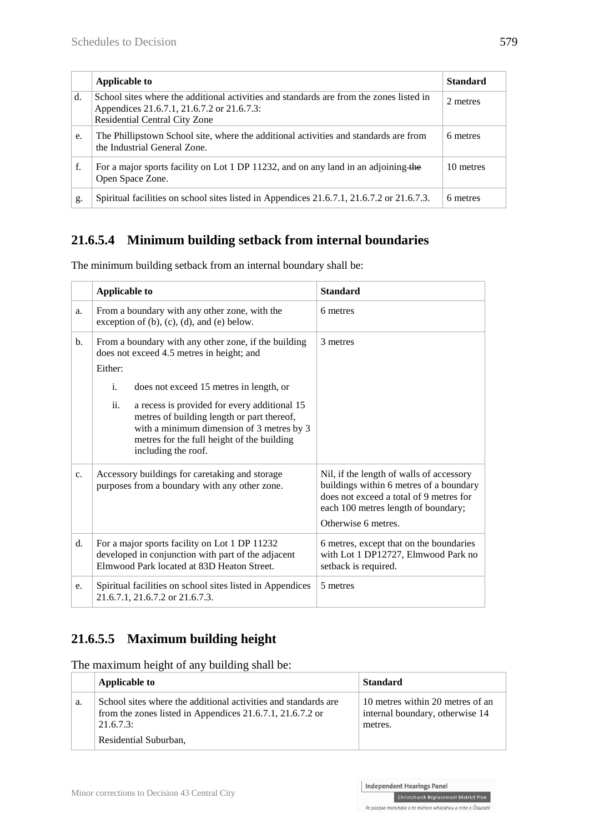|    | Applicable to                                                                                                                                                                 | <b>Standard</b> |
|----|-------------------------------------------------------------------------------------------------------------------------------------------------------------------------------|-----------------|
| d. | School sites where the additional activities and standards are from the zones listed in<br>Appendices 21.6.7.1, 21.6.7.2 or 21.6.7.3:<br><b>Residential Central City Zone</b> | 2 metres        |
| e. | The Phillipstown School site, where the additional activities and standards are from<br>the Industrial General Zone.                                                          | 6 metres        |
| f. | For a major sports facility on Lot 1 DP 11232, and on any land in an adjoining the<br>Open Space Zone.                                                                        | 10 metres       |
| g. | Spiritual facilities on school sites listed in Appendices 21.6.7.1, 21.6.7.2 or 21.6.7.3.                                                                                     | 6 metres        |

# **21.6.5.4 Minimum building setback from internal boundaries**

|                | <b>Applicable to</b>                                                                                                                                                                                                | <b>Standard</b>                                                                                                                                                                              |
|----------------|---------------------------------------------------------------------------------------------------------------------------------------------------------------------------------------------------------------------|----------------------------------------------------------------------------------------------------------------------------------------------------------------------------------------------|
| a.             | From a boundary with any other zone, with the<br>exception of $(b)$ , $(c)$ , $(d)$ , and $(e)$ below.                                                                                                              | 6 metres                                                                                                                                                                                     |
| $\mathbf{b}$ . | From a boundary with any other zone, if the building<br>does not exceed 4.5 metres in height; and                                                                                                                   | 3 metres                                                                                                                                                                                     |
|                | Either:                                                                                                                                                                                                             |                                                                                                                                                                                              |
|                | $\mathbf{i}$ .<br>does not exceed 15 metres in length, or                                                                                                                                                           |                                                                                                                                                                                              |
|                | ii.<br>a recess is provided for every additional 15<br>metres of building length or part thereof,<br>with a minimum dimension of 3 metres by 3<br>metres for the full height of the building<br>including the roof. |                                                                                                                                                                                              |
| $\mathbf{c}$ . | Accessory buildings for caretaking and storage<br>purposes from a boundary with any other zone.                                                                                                                     | Nil, if the length of walls of accessory<br>buildings within 6 metres of a boundary<br>does not exceed a total of 9 metres for<br>each 100 metres length of boundary;<br>Otherwise 6 metres. |
| d.             | For a major sports facility on Lot 1 DP 11232<br>developed in conjunction with part of the adjacent<br>Elmwood Park located at 83D Heaton Street.                                                                   | 6 metres, except that on the boundaries<br>with Lot 1 DP12727, Elmwood Park no<br>setback is required.                                                                                       |
| e.             | Spiritual facilities on school sites listed in Appendices<br>21.6.7.1, 21.6.7.2 or 21.6.7.3.                                                                                                                        | 5 metres                                                                                                                                                                                     |

The minimum building setback from an internal boundary shall be:

# **21.6.5.5 Maximum building height**

The maximum height of any building shall be:

|    | Applicable to                                                                                                                           | <b>Standard</b>                                                                |
|----|-----------------------------------------------------------------------------------------------------------------------------------------|--------------------------------------------------------------------------------|
| a. | School sites where the additional activities and standards are<br>from the zones listed in Appendices 21.6.7.1, 21.6.7.2 or<br>21.6.7.3 | 10 metres within 20 metres of an<br>internal boundary, otherwise 14<br>metres. |
|    | Residential Suburban,                                                                                                                   |                                                                                |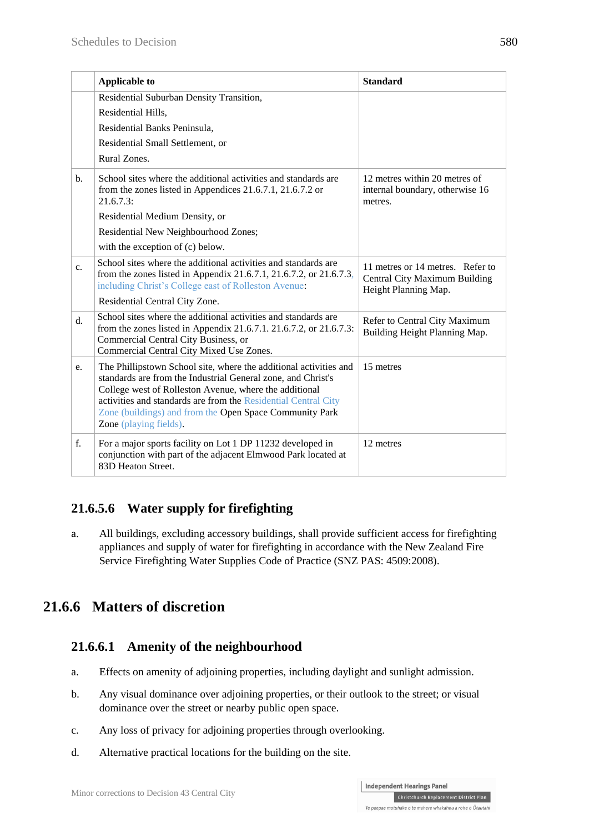|                | <b>Applicable to</b>                                                                                                                                                                                                                                                                                                                               | <b>Standard</b>                                                                           |
|----------------|----------------------------------------------------------------------------------------------------------------------------------------------------------------------------------------------------------------------------------------------------------------------------------------------------------------------------------------------------|-------------------------------------------------------------------------------------------|
|                | Residential Suburban Density Transition,                                                                                                                                                                                                                                                                                                           |                                                                                           |
|                | Residential Hills,                                                                                                                                                                                                                                                                                                                                 |                                                                                           |
|                | Residential Banks Peninsula,                                                                                                                                                                                                                                                                                                                       |                                                                                           |
|                | Residential Small Settlement, or                                                                                                                                                                                                                                                                                                                   |                                                                                           |
|                | Rural Zones.                                                                                                                                                                                                                                                                                                                                       |                                                                                           |
| b.             | School sites where the additional activities and standards are<br>from the zones listed in Appendices 21.6.7.1, 21.6.7.2 or<br>21.6.7.3                                                                                                                                                                                                            | 12 metres within 20 metres of<br>internal boundary, otherwise 16<br>metres.               |
|                | Residential Medium Density, or                                                                                                                                                                                                                                                                                                                     |                                                                                           |
|                | Residential New Neighbourhood Zones;                                                                                                                                                                                                                                                                                                               |                                                                                           |
|                | with the exception of (c) below.                                                                                                                                                                                                                                                                                                                   |                                                                                           |
| $\mathbf{c}$ . | School sites where the additional activities and standards are<br>from the zones listed in Appendix 21.6.7.1, 21.6.7.2, or 21.6.7.3,<br>including Christ's College east of Rolleston Avenue:                                                                                                                                                       | 11 metres or 14 metres. Refer to<br>Central City Maximum Building<br>Height Planning Map. |
|                | Residential Central City Zone.                                                                                                                                                                                                                                                                                                                     |                                                                                           |
| $d_{\cdot}$    | School sites where the additional activities and standards are<br>from the zones listed in Appendix 21.6.7.1. 21.6.7.2, or 21.6.7.3:<br>Commercial Central City Business, or<br>Commercial Central City Mixed Use Zones.                                                                                                                           | Refer to Central City Maximum<br>Building Height Planning Map.                            |
| e.             | The Phillipstown School site, where the additional activities and<br>standards are from the Industrial General zone, and Christ's<br>College west of Rolleston Avenue, where the additional<br>activities and standards are from the Residential Central City<br>Zone (buildings) and from the Open Space Community Park<br>Zone (playing fields). | 15 metres                                                                                 |
| $f_{\cdot}$    | For a major sports facility on Lot 1 DP 11232 developed in<br>conjunction with part of the adjacent Elmwood Park located at<br>83D Heaton Street.                                                                                                                                                                                                  | 12 metres                                                                                 |

## **21.6.5.6 Water supply for firefighting**

a. All buildings, excluding accessory buildings, shall provide sufficient access for firefighting appliances and supply of water for firefighting in accordance with the New Zealand Fire Service Firefighting Water Supplies Code of Practice (SNZ PAS: 4509:2008).

# **21.6.6 Matters of discretion**

## **21.6.6.1 Amenity of the neighbourhood**

- a. Effects on amenity of adjoining properties, including daylight and sunlight admission.
- b. Any visual dominance over adjoining properties, or their outlook to the street; or visual dominance over the street or nearby public open space.
- c. Any loss of privacy for adjoining properties through overlooking.
- d. Alternative practical locations for the building on the site.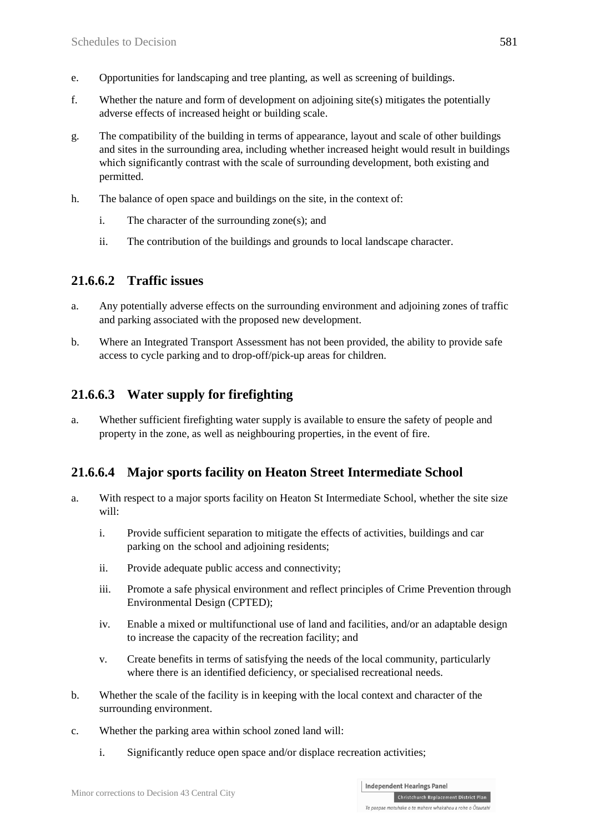- e. Opportunities for landscaping and tree planting, as well as screening of buildings.
- f. Whether the nature and form of development on adjoining site(s) mitigates the potentially adverse effects of increased height or building scale.
- g. The compatibility of the building in terms of appearance, layout and scale of other buildings and sites in the surrounding area, including whether increased height would result in buildings which significantly contrast with the scale of surrounding development, both existing and permitted.
- h. The balance of open space and buildings on the site, in the context of:
	- i. The character of the surrounding zone(s); and
	- ii. The contribution of the buildings and grounds to local landscape character.

#### **21.6.6.2 Traffic issues**

- a. Any potentially adverse effects on the surrounding environment and adjoining zones of traffic and parking associated with the proposed new development.
- b. Where an Integrated Transport Assessment has not been provided, the ability to provide safe access to cycle parking and to drop-off/pick-up areas for children.

## **21.6.6.3 Water supply for firefighting**

a. Whether sufficient firefighting water supply is available to ensure the safety of people and property in the zone, as well as neighbouring properties, in the event of fire.

## **21.6.6.4 Major sports facility on Heaton Street Intermediate School**

- a. With respect to a major sports facility on Heaton St Intermediate School, whether the site size will:
	- i. Provide sufficient separation to mitigate the effects of activities, buildings and car parking on the school and adjoining residents;
	- ii. Provide adequate public access and connectivity;
	- iii. Promote a safe physical environment and reflect principles of Crime Prevention through Environmental Design (CPTED);
	- iv. Enable a mixed or multifunctional use of land and facilities, and/or an adaptable design to increase the capacity of the recreation facility; and
	- v. Create benefits in terms of satisfying the needs of the local community, particularly where there is an identified deficiency, or specialised recreational needs.
- b. Whether the scale of the facility is in keeping with the local context and character of the surrounding environment.
- c. Whether the parking area within school zoned land will:
	- i. Significantly reduce open space and/or displace recreation activities;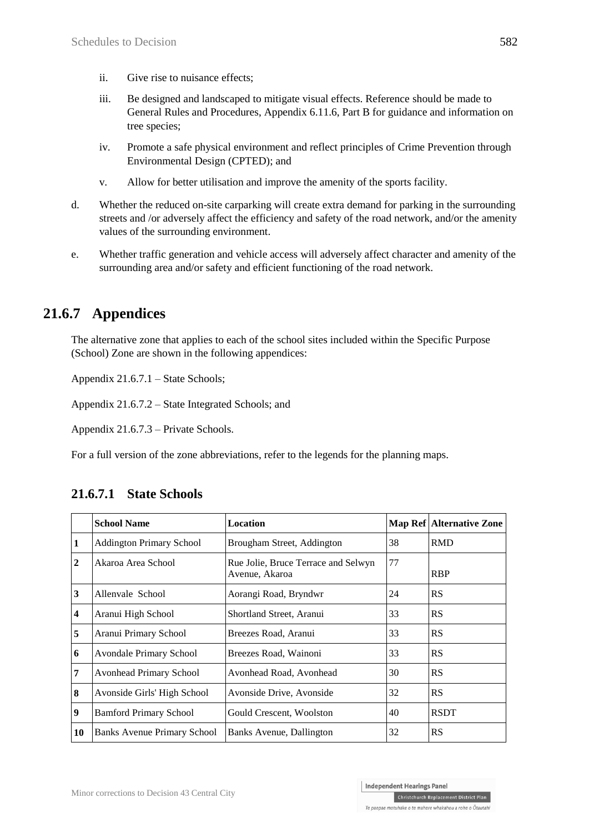- ii. Give rise to nuisance effects;
- iii. Be designed and landscaped to mitigate visual effects. Reference should be made to General Rules and Procedures, Appendix 6.11.6, Part B for guidance and information on tree species;
- iv. Promote a safe physical environment and reflect principles of Crime Prevention through Environmental Design (CPTED); and
- v. Allow for better utilisation and improve the amenity of the sports facility.
- d. Whether the reduced on-site carparking will create extra demand for parking in the surrounding streets and /or adversely affect the efficiency and safety of the road network, and/or the amenity values of the surrounding environment.
- e. Whether traffic generation and vehicle access will adversely affect character and amenity of the surrounding area and/or safety and efficient functioning of the road network.

## **21.6.7 Appendices**

The alternative zone that applies to each of the school sites included within the Specific Purpose (School) Zone are shown in the following appendices:

Appendix 21.6.7.1 – State Schools;

Appendix 21.6.7.2 – State Integrated Schools; and

Appendix 21.6.7.3 – Private Schools.

For a full version of the zone abbreviations, refer to the legends for the planning maps.

|                         | <b>School Name</b>                 | Location                                              |    | Map Ref Alternative Zone |
|-------------------------|------------------------------------|-------------------------------------------------------|----|--------------------------|
| $\vert$ 1               | <b>Addington Primary School</b>    | Brougham Street, Addington                            | 38 | <b>RMD</b>               |
| $\overline{2}$          | Akaroa Area School                 | Rue Jolie, Bruce Terrace and Selwyn<br>Avenue, Akaroa | 77 | <b>RBP</b>               |
| $\overline{3}$          | Allenvale School                   | Aorangi Road, Bryndwr                                 | 24 | <b>RS</b>                |
| $\overline{\mathbf{4}}$ | Aranui High School                 | Shortland Street, Aranui                              | 33 | RS                       |
| 5                       | Aranui Primary School              | Breezes Road, Aranui                                  | 33 | RS                       |
| 6                       | <b>Avondale Primary School</b>     | Breezes Road, Wainoni                                 | 33 | RS                       |
| $\overline{7}$          | <b>Avonhead Primary School</b>     | Avonhead Road, Avonhead                               | 30 | RS                       |
| $\boldsymbol{8}$        | Avonside Girls' High School        | Avonside Drive, Avonside                              | 32 | RS                       |
| $\boldsymbol{9}$        | <b>Bamford Primary School</b>      | Gould Crescent, Woolston                              | 40 | <b>RSDT</b>              |
| <b>10</b>               | <b>Banks Avenue Primary School</b> | Banks Avenue, Dallington                              | 32 | <b>RS</b>                |

#### **21.6.7.1 State Schools**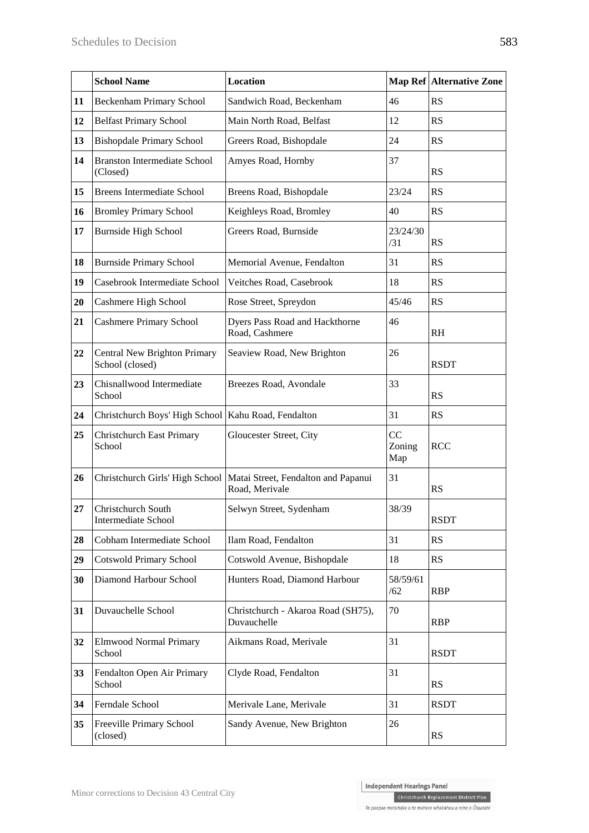|    | <b>School Name</b>                                    | Location                                                                                |                     | <b>Map Ref Alternative Zone</b> |
|----|-------------------------------------------------------|-----------------------------------------------------------------------------------------|---------------------|---------------------------------|
| 11 | <b>Beckenham Primary School</b>                       | Sandwich Road, Beckenham                                                                | 46                  | RS                              |
| 12 | <b>Belfast Primary School</b>                         | Main North Road, Belfast                                                                | 12                  | RS                              |
| 13 | <b>Bishopdale Primary School</b>                      | Greers Road, Bishopdale                                                                 | 24                  | RS                              |
| 14 | <b>Branston Intermediate School</b><br>(Closed)       | Amyes Road, Hornby                                                                      | 37                  | <b>RS</b>                       |
| 15 | <b>Breens Intermediate School</b>                     | Breens Road, Bishopdale                                                                 | 23/24               | <b>RS</b>                       |
| 16 | <b>Bromley Primary School</b>                         | Keighleys Road, Bromley                                                                 | 40                  | <b>RS</b>                       |
| 17 | <b>Burnside High School</b>                           | Greers Road, Burnside                                                                   | 23/24/30<br>/31     | <b>RS</b>                       |
| 18 | <b>Burnside Primary School</b>                        | Memorial Avenue, Fendalton                                                              | 31                  | RS                              |
| 19 | Casebrook Intermediate School                         | Veitches Road, Casebrook                                                                | 18                  | <b>RS</b>                       |
| 20 | Cashmere High School                                  | Rose Street, Spreydon                                                                   | 45/46               | RS                              |
| 21 | <b>Cashmere Primary School</b>                        | Dyers Pass Road and Hackthorne<br>Road, Cashmere                                        | 46                  | <b>RH</b>                       |
| 22 | Central New Brighton Primary<br>School (closed)       | Seaview Road, New Brighton                                                              | 26                  | <b>RSDT</b>                     |
| 23 | Chisnallwood Intermediate<br>School                   | Breezes Road, Avondale                                                                  | 33                  | <b>RS</b>                       |
| 24 | Christchurch Boys' High School   Kahu Road, Fendalton |                                                                                         | 31                  | <b>RS</b>                       |
| 25 | <b>Christchurch East Primary</b><br>School            | Gloucester Street, City                                                                 | CC<br>Zoning<br>Map | <b>RCC</b>                      |
| 26 |                                                       | Christchurch Girls' High School   Matai Street, Fendalton and Papanui<br>Road, Merivale | 31                  | <b>RS</b>                       |
| 27 | Christchurch South<br><b>Intermediate School</b>      | Selwyn Street, Sydenham                                                                 | 38/39               | <b>RSDT</b>                     |
| 28 | Cobham Intermediate School                            | Ilam Road, Fendalton                                                                    | 31                  | <b>RS</b>                       |
| 29 | <b>Cotswold Primary School</b>                        | Cotswold Avenue, Bishopdale                                                             | 18                  | RS                              |
| 30 | Diamond Harbour School                                | Hunters Road, Diamond Harbour                                                           | 58/59/61<br>/62     | <b>RBP</b>                      |
| 31 | Duvauchelle School                                    | Christchurch - Akaroa Road (SH75),<br>Duvauchelle                                       | 70                  | <b>RBP</b>                      |
| 32 | <b>Elmwood Normal Primary</b><br>School               | Aikmans Road, Merivale                                                                  | 31                  | <b>RSDT</b>                     |
| 33 | Fendalton Open Air Primary<br>School                  | Clyde Road, Fendalton                                                                   | 31                  | RS                              |
| 34 | Ferndale School                                       | Merivale Lane, Merivale                                                                 | 31                  | <b>RSDT</b>                     |
| 35 | Freeville Primary School<br>(closed)                  | Sandy Avenue, New Brighton                                                              | 26                  | RS                              |

Christchurch Replacement District Plan Te paepae motuhake o te mahere whakahou a rohe o Ōtautahi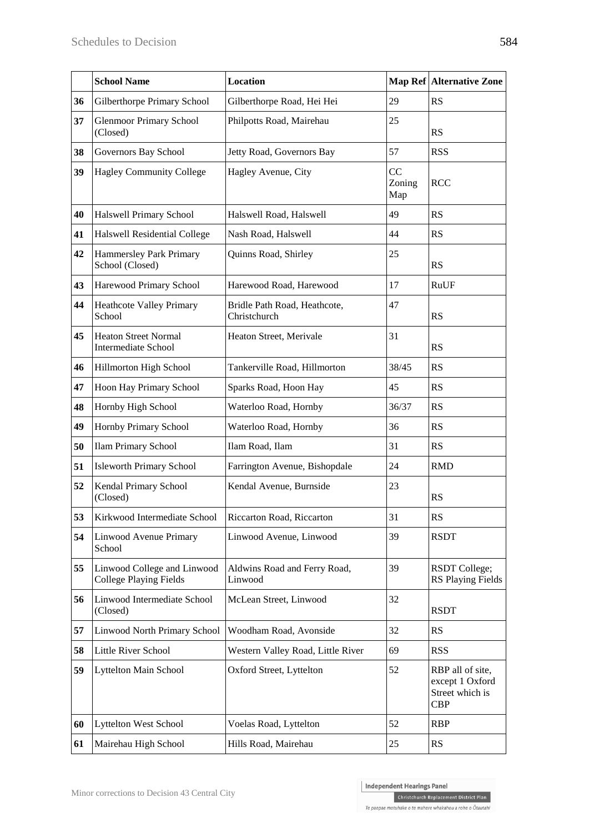|    | <b>School Name</b>                                           | <b>Location</b>                              |                     | <b>Map Ref Alternative Zone</b>                                      |
|----|--------------------------------------------------------------|----------------------------------------------|---------------------|----------------------------------------------------------------------|
| 36 | Gilberthorpe Primary School                                  | Gilberthorpe Road, Hei Hei                   | 29                  | <b>RS</b>                                                            |
| 37 | <b>Glenmoor Primary School</b><br>(Closed)                   | Philpotts Road, Mairehau                     | 25                  | <b>RS</b>                                                            |
| 38 | Governors Bay School                                         | Jetty Road, Governors Bay                    | 57                  | <b>RSS</b>                                                           |
| 39 | <b>Hagley Community College</b>                              | Hagley Avenue, City                          | CC<br>Zoning<br>Map | <b>RCC</b>                                                           |
| 40 | Halswell Primary School                                      | Halswell Road, Halswell                      | 49                  | RS                                                                   |
| 41 | <b>Halswell Residential College</b>                          | Nash Road, Halswell                          | 44                  | RS                                                                   |
| 42 | Hammersley Park Primary<br>School (Closed)                   | Quinns Road, Shirley                         | 25                  | RS                                                                   |
| 43 | Harewood Primary School                                      | Harewood Road, Harewood                      | 17                  | RuUF                                                                 |
| 44 | <b>Heathcote Valley Primary</b><br>School                    | Bridle Path Road, Heathcote,<br>Christchurch | 47                  | <b>RS</b>                                                            |
| 45 | <b>Heaton Street Normal</b><br><b>Intermediate School</b>    | Heaton Street, Merivale                      | 31                  | <b>RS</b>                                                            |
| 46 | Hillmorton High School                                       | Tankerville Road, Hillmorton                 | 38/45               | <b>RS</b>                                                            |
| 47 | Hoon Hay Primary School                                      | Sparks Road, Hoon Hay                        | 45                  | RS                                                                   |
| 48 | Hornby High School                                           | Waterloo Road, Hornby                        | 36/37               | RS                                                                   |
| 49 | Hornby Primary School                                        | Waterloo Road, Hornby                        | 36                  | <b>RS</b>                                                            |
| 50 | <b>Ilam Primary School</b>                                   | Ilam Road, Ilam                              | 31                  | RS                                                                   |
| 51 | <b>Isleworth Primary School</b>                              | Farrington Avenue, Bishopdale                | 24                  | <b>RMD</b>                                                           |
| 52 | Kendal Primary School<br>(Closed)                            | Kendal Avenue, Burnside                      | 23                  | <b>RS</b>                                                            |
| 53 | Kirkwood Intermediate School                                 | Riccarton Road, Riccarton                    | 31                  | <b>RS</b>                                                            |
| 54 | Linwood Avenue Primary<br>School                             | Linwood Avenue, Linwood                      | 39                  | <b>RSDT</b>                                                          |
| 55 | Linwood College and Linwood<br><b>College Playing Fields</b> | Aldwins Road and Ferry Road,<br>Linwood      | 39                  | <b>RSDT</b> College;<br><b>RS Playing Fields</b>                     |
| 56 | Linwood Intermediate School<br>(Closed)                      | McLean Street, Linwood                       | 32                  | <b>RSDT</b>                                                          |
| 57 | Linwood North Primary School                                 | Woodham Road, Avonside                       | 32                  | <b>RS</b>                                                            |
| 58 | Little River School                                          | Western Valley Road, Little River            | 69                  | <b>RSS</b>                                                           |
| 59 | Lyttelton Main School                                        | Oxford Street, Lyttelton                     | 52                  | RBP all of site,<br>except 1 Oxford<br>Street which is<br><b>CBP</b> |
| 60 | <b>Lyttelton West School</b>                                 | Voelas Road, Lyttelton                       | 52                  | <b>RBP</b>                                                           |
| 61 | Mairehau High School                                         | Hills Road, Mairehau                         | 25                  | RS                                                                   |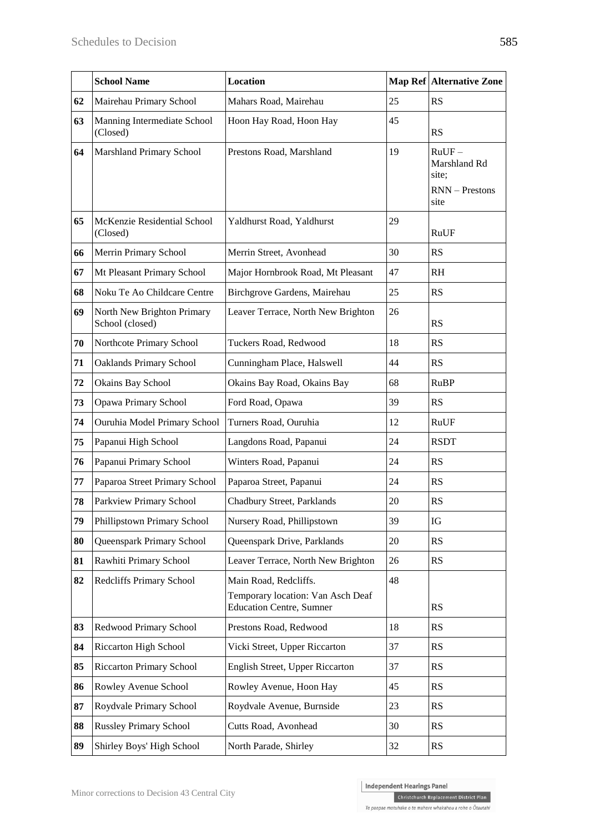|                                                                   | <b>School Name</b>                            | Location                                                                                      |                                                               | Map Ref Alternative Zone |
|-------------------------------------------------------------------|-----------------------------------------------|-----------------------------------------------------------------------------------------------|---------------------------------------------------------------|--------------------------|
| 62                                                                | Mairehau Primary School                       | Mahars Road, Mairehau                                                                         | 25                                                            | <b>RS</b>                |
| 63                                                                | Manning Intermediate School<br>(Closed)       | Hoon Hay Road, Hoon Hay                                                                       | 45                                                            | <b>RS</b>                |
| <b>Marshland Primary School</b><br>Prestons Road, Marshland<br>64 |                                               | 19                                                                                            | $RuUF -$<br>Marshland Rd<br>site;<br>$RNN -$ Prestons<br>site |                          |
| 65                                                                | McKenzie Residential School<br>(Closed)       | Yaldhurst Road, Yaldhurst                                                                     | 29                                                            | RuUF                     |
| 66                                                                | Merrin Primary School                         | Merrin Street, Avonhead                                                                       | 30                                                            | <b>RS</b>                |
| 67                                                                | Mt Pleasant Primary School                    | Major Hornbrook Road, Mt Pleasant                                                             | 47                                                            | <b>RH</b>                |
| 68                                                                | Noku Te Ao Childcare Centre                   | Birchgrove Gardens, Mairehau                                                                  | 25                                                            | <b>RS</b>                |
| 69                                                                | North New Brighton Primary<br>School (closed) | Leaver Terrace, North New Brighton                                                            | 26                                                            | RS                       |
| 70                                                                | Northcote Primary School                      | Tuckers Road, Redwood                                                                         | 18                                                            | <b>RS</b>                |
| 71                                                                | <b>Oaklands Primary School</b>                | Cunningham Place, Halswell                                                                    | 44                                                            | RS                       |
| 72                                                                | Okains Bay School                             | Okains Bay Road, Okains Bay                                                                   | 68                                                            | <b>RuBP</b>              |
| 73                                                                | Opawa Primary School                          | Ford Road, Opawa                                                                              | 39                                                            | <b>RS</b>                |
| 74                                                                | Ouruhia Model Primary School                  | Turners Road, Ouruhia                                                                         | 12                                                            | RuUF                     |
| 75                                                                | Papanui High School                           | Langdons Road, Papanui                                                                        | 24                                                            | <b>RSDT</b>              |
| 76                                                                | Papanui Primary School                        | Winters Road, Papanui                                                                         | 24                                                            | <b>RS</b>                |
| 77                                                                | Paparoa Street Primary School                 | Paparoa Street, Papanui                                                                       | 24                                                            | <b>RS</b>                |
| 78                                                                | Parkview Primary School                       | Chadbury Street, Parklands                                                                    | 20                                                            | RS                       |
| 79                                                                | Phillipstown Primary School                   | Nursery Road, Phillipstown                                                                    | 39                                                            | IG                       |
| 80                                                                | Queenspark Primary School                     | Queenspark Drive, Parklands                                                                   | 20                                                            | <b>RS</b>                |
| 81                                                                | Rawhiti Primary School                        | Leaver Terrace, North New Brighton                                                            | 26                                                            | RS                       |
| 82                                                                | Redcliffs Primary School                      | Main Road, Redcliffs.<br>Temporary location: Van Asch Deaf<br><b>Education Centre, Sumner</b> | 48                                                            | <b>RS</b>                |
| 83                                                                | Redwood Primary School                        | Prestons Road, Redwood                                                                        | 18                                                            | <b>RS</b>                |
| 84                                                                | Riccarton High School                         | Vicki Street, Upper Riccarton                                                                 | 37                                                            | <b>RS</b>                |
| 85                                                                | <b>Riccarton Primary School</b>               | English Street, Upper Riccarton                                                               | 37                                                            | <b>RS</b>                |
| 86                                                                | Rowley Avenue School                          | Rowley Avenue, Hoon Hay                                                                       | 45                                                            | <b>RS</b>                |
| 87                                                                | Roydvale Primary School                       | Roydvale Avenue, Burnside                                                                     | 23                                                            | RS                       |
| 88                                                                | <b>Russley Primary School</b>                 | Cutts Road, Avonhead                                                                          | 30                                                            | <b>RS</b>                |
| 89                                                                | Shirley Boys' High School                     | North Parade, Shirley                                                                         | 32                                                            | <b>RS</b>                |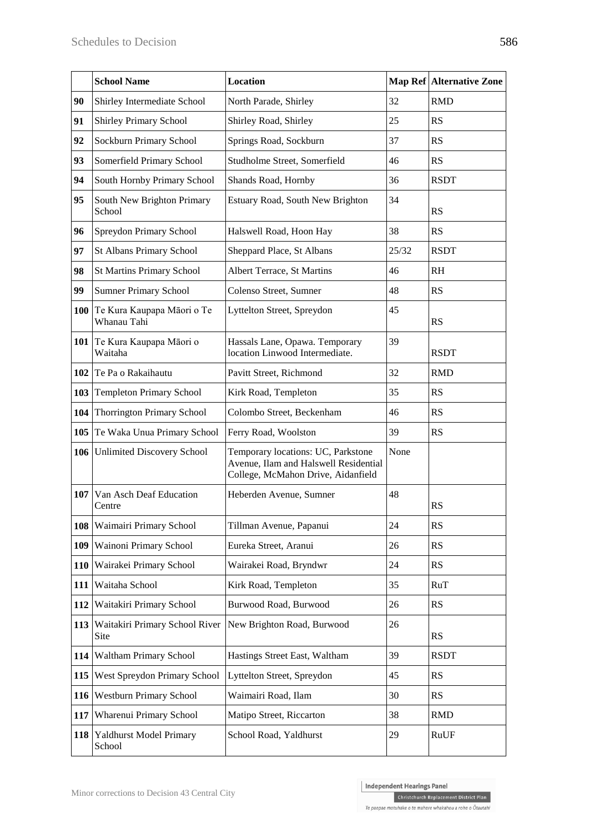|            | <b>School Name</b>                        | Location                                                                                                          |       | <b>Map Ref Alternative Zone</b> |
|------------|-------------------------------------------|-------------------------------------------------------------------------------------------------------------------|-------|---------------------------------|
| 90         | Shirley Intermediate School               | North Parade, Shirley                                                                                             | 32    | <b>RMD</b>                      |
| 91         | <b>Shirley Primary School</b>             | Shirley Road, Shirley                                                                                             | 25    | <b>RS</b>                       |
| 92         | Sockburn Primary School                   | Springs Road, Sockburn                                                                                            | 37    | RS                              |
| 93         | Somerfield Primary School                 | Studholme Street, Somerfield                                                                                      | 46    | RS                              |
| 94         | South Hornby Primary School               | Shands Road, Hornby                                                                                               | 36    | <b>RSDT</b>                     |
| 95         | South New Brighton Primary<br>School      | Estuary Road, South New Brighton                                                                                  | 34    | RS                              |
| 96         | Spreydon Primary School                   | Halswell Road, Hoon Hay                                                                                           | 38    | RS                              |
| 97         | St Albans Primary School                  | Sheppard Place, St Albans                                                                                         | 25/32 | <b>RSDT</b>                     |
| 98         | <b>St Martins Primary School</b>          | Albert Terrace, St Martins                                                                                        | 46    | <b>RH</b>                       |
| 99         | <b>Sumner Primary School</b>              | Colenso Street, Sumner                                                                                            | 48    | RS                              |
| <b>100</b> | Te Kura Kaupapa Māori o Te<br>Whanau Tahi | Lyttelton Street, Spreydon                                                                                        | 45    | <b>RS</b>                       |
|            | 101 Te Kura Kaupapa Māori o<br>Waitaha    | Hassals Lane, Opawa. Temporary<br>location Linwood Intermediate.                                                  | 39    | <b>RSDT</b>                     |
| 102        | Te Pa o Rakaihautu                        | Pavitt Street, Richmond                                                                                           | 32    | <b>RMD</b>                      |
| 103        | <b>Templeton Primary School</b>           | Kirk Road, Templeton                                                                                              | 35    | <b>RS</b>                       |
| 104        | <b>Thorrington Primary School</b>         | Colombo Street, Beckenham                                                                                         | 46    | RS                              |
| 105        | Te Waka Unua Primary School               | Ferry Road, Woolston                                                                                              | 39    | <b>RS</b>                       |
| 106        | <b>Unlimited Discovery School</b>         | Temporary locations: UC, Parkstone<br>Avenue, Ilam and Halswell Residential<br>College, McMahon Drive, Aidanfield | None  |                                 |
| 107        | Van Asch Deaf Education<br>Centre         | Heberden Avenue, Sumner                                                                                           | 48    | <b>RS</b>                       |
| 108        | Waimairi Primary School                   | Tillman Avenue, Papanui                                                                                           | 24    | <b>RS</b>                       |
| 109        | Wainoni Primary School                    | Eureka Street, Aranui                                                                                             | 26    | RS                              |
| <b>110</b> | Wairakei Primary School                   | Wairakei Road, Bryndwr                                                                                            | 24    | RS                              |
| 111        | Waitaha School                            | Kirk Road, Templeton                                                                                              | 35    | <b>RuT</b>                      |
| 112        | Waitakiri Primary School                  | Burwood Road, Burwood                                                                                             | 26    | RS                              |
| 113        | Waitakiri Primary School River<br>Site    | New Brighton Road, Burwood                                                                                        | 26    | <b>RS</b>                       |
| 114        | Waltham Primary School                    | Hastings Street East, Waltham                                                                                     | 39    | <b>RSDT</b>                     |
| 115        | West Spreydon Primary School              | Lyttelton Street, Spreydon                                                                                        | 45    | <b>RS</b>                       |
| 116        | <b>Westburn Primary School</b>            | Waimairi Road, Ilam                                                                                               | 30    | RS                              |
| 117        | Wharenui Primary School                   | Matipo Street, Riccarton                                                                                          | 38    | <b>RMD</b>                      |
| 118        | Yaldhurst Model Primary<br>School         | School Road, Yaldhurst                                                                                            | 29    | <b>RuUF</b>                     |

Christchurch Replacement District Plan Te paepae motuhake o te mahere whakahou a rohe o Ōtautahi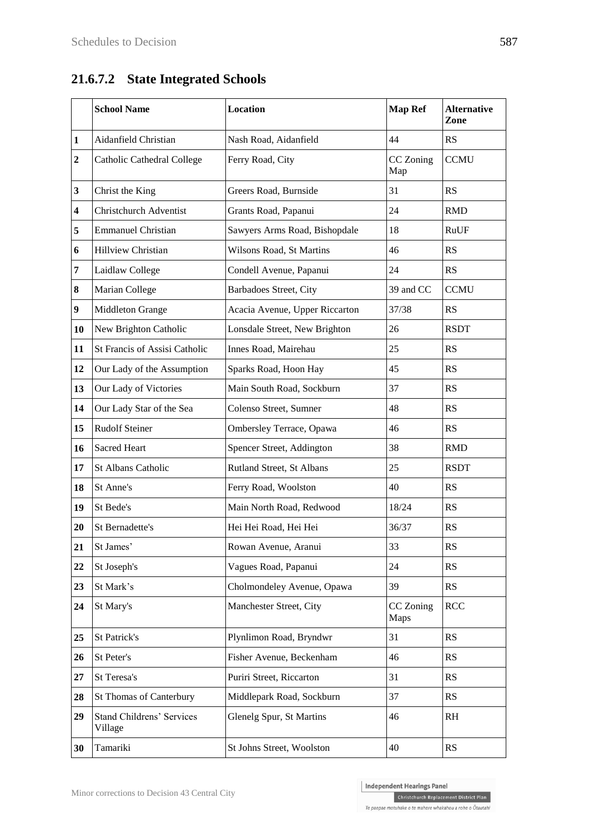# **21.6.7.2 State Integrated Schools**

|                  | <b>School Name</b>                          | <b>Location</b>                | <b>Map Ref</b>    | <b>Alternative</b><br>Zone |
|------------------|---------------------------------------------|--------------------------------|-------------------|----------------------------|
| 1                | Aidanfield Christian                        | Nash Road, Aidanfield          | 44                | RS                         |
| $\boldsymbol{2}$ | Catholic Cathedral College                  | Ferry Road, City               | CC Zoning<br>Map  | <b>CCMU</b>                |
| 3                | Christ the King                             | Greers Road, Burnside          | 31                | RS                         |
| 4                | <b>Christchurch Adventist</b>               | Grants Road, Papanui           | 24                | <b>RMD</b>                 |
| 5                | <b>Emmanuel Christian</b>                   | Sawyers Arms Road, Bishopdale  | 18                | <b>RuUF</b>                |
| 6                | Hillview Christian                          | Wilsons Road, St Martins       | 46                | RS                         |
| 7                | Laidlaw College                             | Condell Avenue, Papanui        | 24                | RS                         |
| 8                | Marian College                              | Barbadoes Street, City         | 39 and CC         | <b>CCMU</b>                |
| $\boldsymbol{9}$ | Middleton Grange                            | Acacia Avenue, Upper Riccarton | 37/38             | RS                         |
| 10               | New Brighton Catholic                       | Lonsdale Street, New Brighton  | 26                | <b>RSDT</b>                |
| 11               | St Francis of Assisi Catholic               | Innes Road, Mairehau           | 25                | RS                         |
| 12               | Our Lady of the Assumption                  | Sparks Road, Hoon Hay          | 45                | RS                         |
| 13               | Our Lady of Victories                       | Main South Road, Sockburn      | 37                | <b>RS</b>                  |
| 14               | Our Lady Star of the Sea                    | Colenso Street, Sumner         | 48                | RS                         |
| 15               | <b>Rudolf Steiner</b>                       | Ombersley Terrace, Opawa       | 46                | RS                         |
| 16               | <b>Sacred Heart</b>                         | Spencer Street, Addington      | 38                | <b>RMD</b>                 |
| 17               | St Albans Catholic                          | Rutland Street, St Albans      | 25                | <b>RSDT</b>                |
| 18               | St Anne's                                   | Ferry Road, Woolston           | 40                | RS                         |
| 19               | St Bede's                                   | Main North Road, Redwood       | 18/24             | RS                         |
| 20               | St Bernadette's                             | Hei Hei Road, Hei Hei          | 36/37             | RS                         |
| 21               | St James'                                   | Rowan Avenue, Aranui           | 33                | <b>RS</b>                  |
| 22               | St Joseph's                                 | Vagues Road, Papanui           | 24                | RS                         |
| 23               | St Mark's                                   | Cholmondeley Avenue, Opawa     | 39                | RS                         |
| 24               | St Mary's                                   | Manchester Street, City        | CC Zoning<br>Maps | <b>RCC</b>                 |
| 25               | St Patrick's                                | Plynlimon Road, Bryndwr        | 31                | RS                         |
| 26               | St Peter's                                  | Fisher Avenue, Beckenham       | 46                | RS                         |
| 27               | St Teresa's                                 | Puriri Street, Riccarton       | 31                | RS                         |
| 28               | St Thomas of Canterbury                     | Middlepark Road, Sockburn      | 37                | RS                         |
| 29               | <b>Stand Childrens' Services</b><br>Village | Glenelg Spur, St Martins       | 46                | R <sub>H</sub>             |
| 30               | Tamariki                                    | St Johns Street, Woolston      | 40                | RS                         |